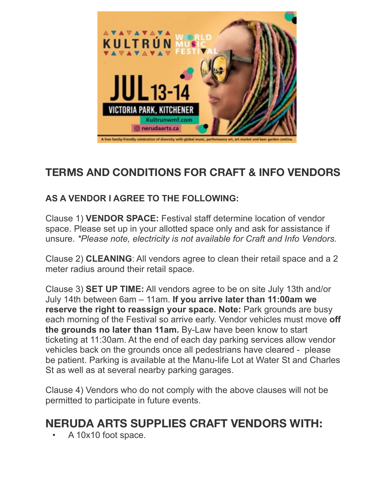

## **TERMS AND CONDITIONS FOR CRAFT & INFO VENDORS**

## **AS A VENDOR I AGREE TO THE FOLLOWING:**

Clause 1) **VENDOR SPACE:** Festival staff determine location of vendor space. Please set up in your allotted space only and ask for assistance if unsure. *\*Please note, electricity is not available for Craft and Info Vendors.*

Clause 2) **CLEANING**: All vendors agree to clean their retail space and a 2 meter radius around their retail space.

Clause 3) **SET UP TIME:** All vendors agree to be on site July 13th and/or July 14th between 6am – 11am. **If you arrive later than 11:00am we reserve the right to reassign your space. Note:** Park grounds are busy each morning of the Festival so arrive early. Vendor vehicles must move **off the grounds no later than 11am.** By-Law have been know to start ticketing at 11:30am. At the end of each day parking services allow vendor vehicles back on the grounds once all pedestrians have cleared - please be patient. Parking is available at the Manu-life Lot at Water St and Charles St as well as at several nearby parking garages.

Clause 4) Vendors who do not comply with the above clauses will not be permitted to participate in future events.

## **NERUDA ARTS SUPPLIES CRAFT VENDORS WITH:**

• A 10x10 foot space.